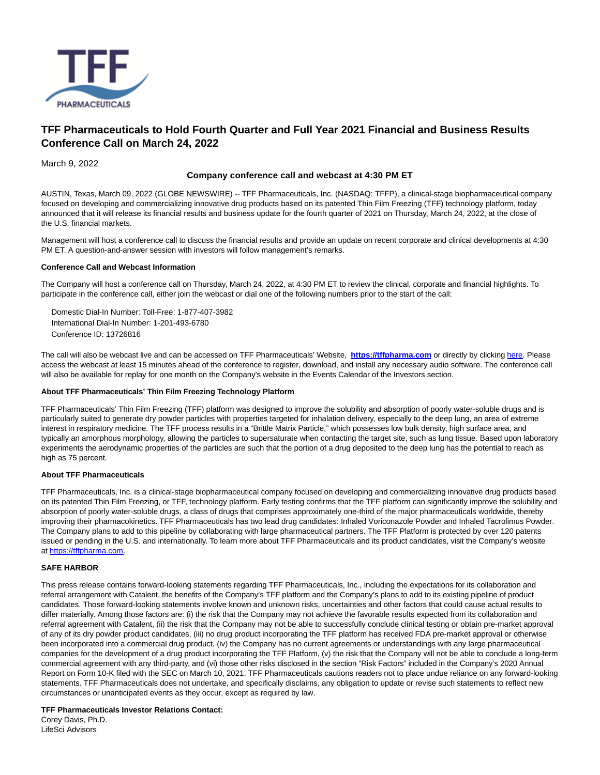

# **TFF Pharmaceuticals to Hold Fourth Quarter and Full Year 2021 Financial and Business Results Conference Call on March 24, 2022**

March 9, 2022

## **Company conference call and webcast at 4:30 PM ET**

AUSTIN, Texas, March 09, 2022 (GLOBE NEWSWIRE) -- TFF Pharmaceuticals, Inc. (NASDAQ: TFFP), a clinical-stage biopharmaceutical company focused on developing and commercializing innovative drug products based on its patented Thin Film Freezing (TFF) technology platform, today announced that it will release its financial results and business update for the fourth quarter of 2021 on Thursday, March 24, 2022, at the close of the U.S. financial markets.

Management will host a conference call to discuss the financial results and provide an update on recent corporate and clinical developments at 4:30 PM ET. A question-and-answer session with investors will follow management's remarks.

### **Conference Call and Webcast Information**

The Company will host a conference call on Thursday, March 24, 2022, at 4:30 PM ET to review the clinical, corporate and financial highlights. To participate in the conference call, either join the webcast or dial one of the following numbers prior to the start of the call:

Domestic Dial-In Number: Toll-Free: 1-877-407-3982 International Dial-In Number: 1-201-493-6780 Conference ID: 13726816

The call will also be webcast live and can be accessed on TFF Pharmaceuticals' Website, **[https://tffpharma.com](https://www.globenewswire.com/Tracker?data=OTIh3r_SU5lE0_tvOZclte4sI2_-ksiD7Ax54G-k6qqqeRzQp8hfvisVI-y9W2PSxwVvfzNd5vfY4SGQzRNgsQ==)** or directly by clicking [here.](https://www.globenewswire.com/Tracker?data=SUysNCA4hu7Fg0pADOyEUd9ubnHAuEGimO569R6GVoZfg8Nrd4zvIYVI9vFISKGib93uDbTwEy5Tj7Zcsulegh427P6NxXzLfVVoYWMet03Ywm1kXuiLoike7etvujjl) Please access the webcast at least 15 minutes ahead of the conference to register, download, and install any necessary audio software. The conference call will also be available for replay for one month on the Company's website in the Events Calendar of the Investors section.

### **About TFF Pharmaceuticals' Thin Film Freezing Technology Platform**

TFF Pharmaceuticals' Thin Film Freezing (TFF) platform was designed to improve the solubility and absorption of poorly water-soluble drugs and is particularly suited to generate dry powder particles with properties targeted for inhalation delivery, especially to the deep lung, an area of extreme interest in respiratory medicine. The TFF process results in a "Brittle Matrix Particle," which possesses low bulk density, high surface area, and typically an amorphous morphology, allowing the particles to supersaturate when contacting the target site, such as lung tissue. Based upon laboratory experiments the aerodynamic properties of the particles are such that the portion of a drug deposited to the deep lung has the potential to reach as high as 75 percent.

### **About TFF Pharmaceuticals**

TFF Pharmaceuticals, Inc. is a clinical-stage biopharmaceutical company focused on developing and commercializing innovative drug products based on its patented Thin Film Freezing, or TFF, technology platform. Early testing confirms that the TFF platform can significantly improve the solubility and absorption of poorly water-soluble drugs, a class of drugs that comprises approximately one-third of the major pharmaceuticals worldwide, thereby improving their pharmacokinetics. TFF Pharmaceuticals has two lead drug candidates: Inhaled Voriconazole Powder and Inhaled Tacrolimus Powder. The Company plans to add to this pipeline by collaborating with large pharmaceutical partners. The TFF Platform is protected by over 120 patents issued or pending in the U.S. and internationally. To learn more about TFF Pharmaceuticals and its product candidates, visit the Company's website at [https://tffpharma.com.](https://www.globenewswire.com/Tracker?data=OTIh3r_SU5lE0_tvOZclte4sI2_-ksiD7Ax54G-k6qqI62dXNAbXL1ico_u-1mL7OgyhS0YLEXChbeNq4os4ELuZmI2sKQRvPFp8xqdz9S8=)

### **SAFE HARBOR**

This press release contains forward-looking statements regarding TFF Pharmaceuticals, Inc., including the expectations for its collaboration and referral arrangement with Catalent, the benefits of the Company's TFF platform and the Company's plans to add to its existing pipeline of product candidates. Those forward-looking statements involve known and unknown risks, uncertainties and other factors that could cause actual results to differ materially. Among those factors are: (i) the risk that the Company may not achieve the favorable results expected from its collaboration and referral agreement with Catalent, (ii) the risk that the Company may not be able to successfully conclude clinical testing or obtain pre-market approval of any of its dry powder product candidates, (iii) no drug product incorporating the TFF platform has received FDA pre-market approval or otherwise been incorporated into a commercial drug product, (iv) the Company has no current agreements or understandings with any large pharmaceutical companies for the development of a drug product incorporating the TFF Platform, (v) the risk that the Company will not be able to conclude a long-term commercial agreement with any third-party, and (vi) those other risks disclosed in the section "Risk Factors" included in the Company's 2020 Annual Report on Form 10-K filed with the SEC on March 10, 2021. TFF Pharmaceuticals cautions readers not to place undue reliance on any forward-looking statements. TFF Pharmaceuticals does not undertake, and specifically disclaims, any obligation to update or revise such statements to reflect new circumstances or unanticipated events as they occur, except as required by law.

#### **TFF Pharmaceuticals Investor Relations Contact:**

Corey Davis, Ph.D. LifeSci Advisors